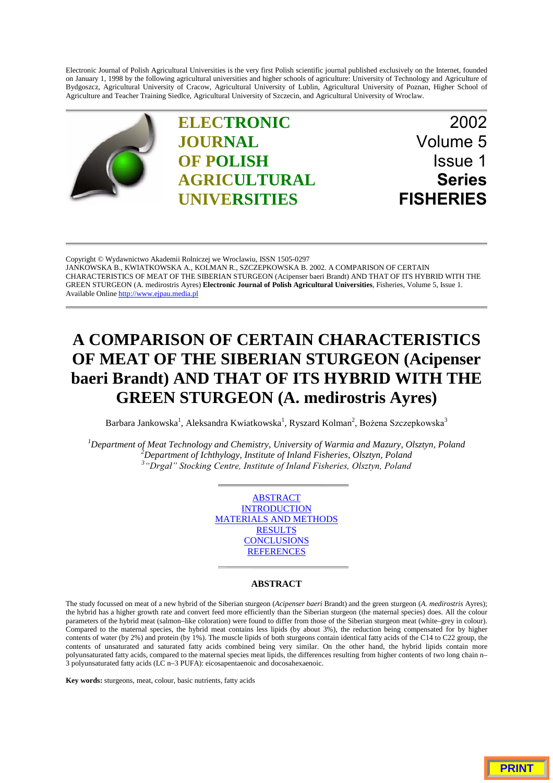Electronic Journal of Polish Agricultural Universities is the very first Polish scientific journal published exclusively on the Internet, founded on January 1, 1998 by the following agricultural universities and higher schools of agriculture: University of Technology and Agriculture of Bydgoszcz, Agricultural University of Cracow, Agricultural University of Lublin, Agricultural University of Poznan, Higher School of Agriculture and Teacher Training Siedlce, Agricultural University of Szczecin, and Agricultural University of Wroclaw.



Copyright © Wydawnictwo Akademii Rolniczej we Wroclawiu, ISSN 1505-0297 JANKOWSKA B., KWIATKOWSKA A., KOLMAN R., SZCZEPKOWSKA B. 2002. A COMPARISON OF CERTAIN [CHARACTERISTICS OF MEAT OF THE SIBERIAN STURGEON \(Acipenser baeri Brandt\) AND THAT OF ITS HYBRID WITH THE](http://www.ejpau.media.pl) GREEN STURGEON (A. medirostris Ayres) **Electronic Journal of Polish Agricultural Universities**, Fisheries, Volume 5, Issue 1. Available Online http://www.ejpau.media.pl

# **A COMPARISON OF CERTAIN CHARACTERISTICS OF MEAT OF THE SIBERIAN STURGEON (Acipenser baeri Brandt) AND THAT OF ITS HYBRID WITH THE GREEN STURGEON (A. medirostris Ayres)**

Barbara Jankowska $^1$ , Aleksandra Kwiatkowska $^1$ , Ryszard Kolman $^2$ , Bożena Szczepkowska $^3$ 

*1 Department of Meat Technology and Chemistry, University of Warmia and Mazury, Olsztyn, Poland <sup>2</sup> Department of Ichthylogy, Institute of Inland Fisheries, Olsztyn, Poland* <sup>3</sup>"Drgał" Stocking Centre, Institute of Inland Fisheries, Olsztyn, Poland

> ABSTRACT **INTRODUCTION** MATERIALS AND METHODS RESULTS **CONCLUSIONS REFERENCES**

# **ABSTRACT**

The study focussed on meat of a new hybrid of the Siberian sturgeon (*Acipenser baeri* Brandt) and the green sturgeon (*A. medirostris* Ayres); the hybrid has a higher growth rate and convert feed more efficiently than the Siberian sturgeon (the maternal species) does. All the colour parameters of the hybrid meat (salmon–like coloration) were found to differ from those of the Siberian sturgeon meat (white–grey in colour). Compared to the maternal species, the hybrid meat contains less lipids (by about 3%), the reduction being compensated for by higher contents of water (by 2%) and protein (by 1%). The muscle lipids of both sturgeons contain identical fatty acids of the C14 to C22 group, the contents of unsaturated and saturated fatty acids combined being very similar. On the other hand, the hybrid lipids contain more polyunsaturated fatty acids, compared to the maternal species meat lipids, the differences resulting from higher contents of two long chain n–  $\overline{3}$  polyunsaturated fatty acids (LC n–3 PUFA): eicosapentaenoic and docosahexaenoic.

**Key words:** sturgeons, meat, colour, basic nutrients, fatty acids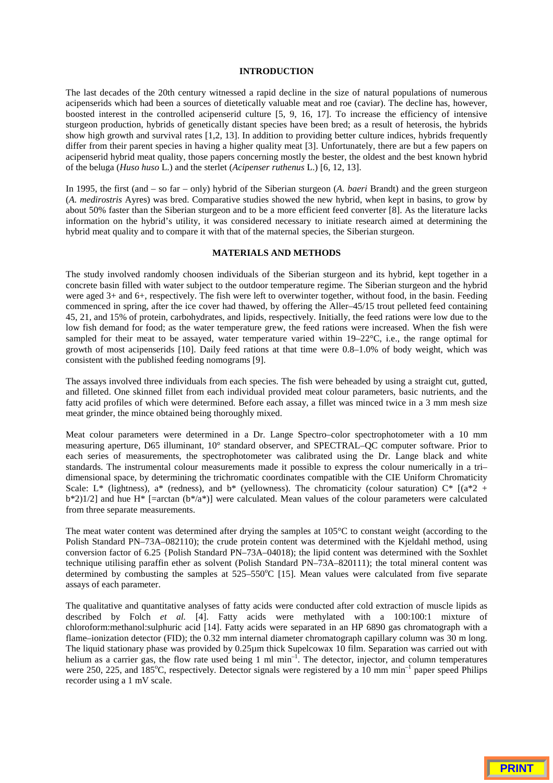# **INTRODUCTION**

The last decades of the 20th century witnessed a rapid decline in the size of natural populations of numerous acipenserids which had been a sources of dietetically valuable meat and roe (caviar). The decline has, however, boosted interest in the controlled acipenserid culture [5, 9, 16, 17]. To increase the efficiency of intensive sturgeon production, hybrids of genetically distant species have been bred; as a result of heterosis, the hybrids show high growth and survival rates [1,2, 13]. In addition to providing better culture indices, hybrids frequently differ from their parent species in having a higher quality meat [3]. Unfortunately, there are but a few papers on acipenserid hybrid meat quality, those papers concerning mostly the bester, the oldest and the best known hybrid of the beluga (*Huso huso* L.) and the sterlet (*Acipenser ruthenus* L.) [6, 12, 13].

In 1995, the first (and – so far – only) hybrid of the Siberian sturgeon (*A. baeri* Brandt) and the green sturgeon (*A. medirostris* Ayres) was bred. Comparative studies showed the new hybrid, when kept in basins, to grow by about 50% faster than the Siberian sturgeon and to be a more efficient feed converter [8]. As the literature lacks information on the hybrid's utility, it was considered necessary to initiate research aimed at determining the hybrid meat quality and to compare it with that of the maternal species, the Siberian sturgeon.

# **MATERIALS AND METHODS**

The study involved randomly choosen individuals of the Siberian sturgeon and its hybrid, kept together in a concrete basin filled with water subject to the outdoor temperature regime. The Siberian sturgeon and the hybrid were aged 3+ and 6+, respectively. The fish were left to overwinter together, without food, in the basin. Feeding commenced in spring, after the ice cover had thawed, by offering the Aller–45/15 trout pelleted feed containing 45, 21, and 15% of protein, carbohydrates, and lipids, respectively. Initially, the feed rations were low due to the low fish demand for food; as the water temperature grew, the feed rations were increased. When the fish were sampled for their meat to be assayed, water temperature varied within 19–22°C, i.e., the range optimal for growth of most acipenserids [10]. Daily feed rations at that time were 0.8–1.0% of body weight, which was consistent with the published feeding nomograms [9].

The assays involved three individuals from each species. The fish were beheaded by using a straight cut, gutted, and filleted. One skinned fillet from each individual provided meat colour parameters, basic nutrients, and the fatty acid profiles of which were determined. Before each assay, a fillet was minced twice in a 3 mm mesh size meat grinder, the mince obtained being thoroughly mixed.

Meat colour parameters were determined in a Dr. Lange Spectro–color spectrophotometer with a 10 mm measuring aperture, D65 illuminant, 10° standard observer, and SPECTRAL–QC computer software. Prior to each series of measurements, the spectrophotometer was calibrated using the Dr. Lange black and white standards. The instrumental colour measurements made it possible to express the colour numerically in a tri– dimensional space, by determining the trichromatic coordinates compatible with the CIE Uniform Chromaticity Scale: L<sup>\*</sup> (lightness), a<sup>\*</sup> (redness), and b<sup>\*</sup> (yellowness). The chromaticity (colour saturation) C<sup>\*</sup> [(a<sup>\*2</sup> +  $b*2$ )1/2] and hue H\* [=arctan ( $b*/a*$ )] were calculated. Mean values of the colour parameters were calculated from three separate measurements.

The meat water content was determined after drying the samples at 105°C to constant weight (according to the Polish Standard PN–73A–082110); the crude protein content was determined with the Kjeldahl method, using conversion factor of 6.25 {Polish Standard PN–73A–04018); the lipid content was determined with the Soxhlet technique utilising paraffin ether as solvent (Polish Standard PN–73A–820111); the total mineral content was determined by combusting the samples at 525–550°C [15]. Mean values were calculated from five separate assays of each parameter.

The qualitative and quantitative analyses of fatty acids were conducted after cold extraction of muscle lipids as described by Folch *et al.* [4]. Fatty acids were methylated with a 100:100:1 mixture of chloroform:methanol:sulphuric acid [14]. Fatty acids were separated in an HP 6890 gas chromatograph with a flame–ionization detector (FID); the 0.32 mm internal diameter chromatograph capillary column was 30 m long. The liquid stationary phase was provided by 0.25µm thick Supelcowax 10 film. Separation was carried out with helium as a carrier gas, the flow rate used being 1 ml min<sup>-1</sup>. The detector, injector, and column temperatures were 250, 225, and 185°C, respectively. Detector signals were registered by a 10 mm min<sup>-1</sup> paper speed Philips recorder using a 1 mV scale.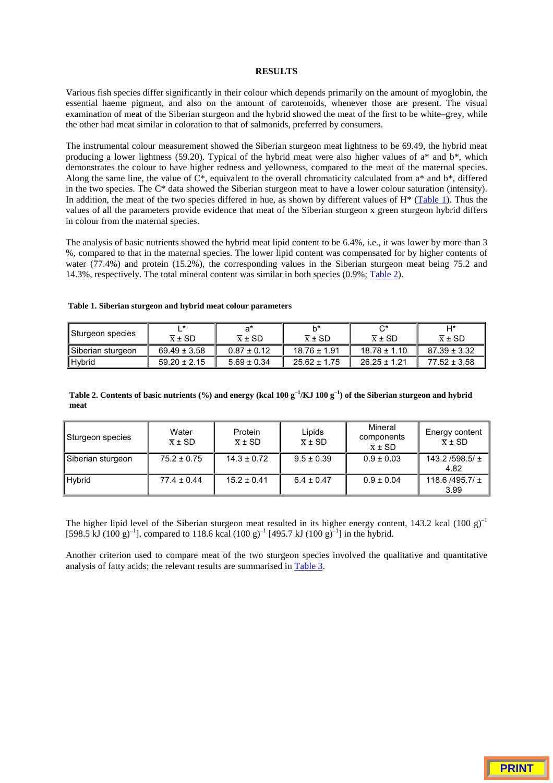#### **RESULTS**

Various fish species differ significantly in their colour which depends primarily on the amount of myoglobin, the essential haeme pigment, and also on the amount of carotenoids, whenever those are present. The visual examination of meat of the Siberian sturgeon and the hybrid showed the meat of the first to be white–grey, while the other had meat similar in coloration to that of salmonids, preferred by consumers.

The instrumental colour measurement showed the Siberian sturgeon meat lightness to be 69.49, the hybrid meat producing a lower lightness (59.20). Typical of the hybrid meat were also higher values of  $a^*$  and  $b^*$ , which demonstrates the colour to have higher redness and yellowness, compared to the meat of the maternal species. Along the same line, the value of  $\tilde{C}^*$ , equivalent to the overall chromaticity calculated from  $a^*$  and  $b^*$ , differed in the two species. The C\* data showed the Siberian sturgeon meat to have a lower colour saturation (intensity). In addition, the meat of the two species differed in hue, as shown by different values of  $H^*$  (Table 1). Thus the values of all the parameters provide evidence that meat of the Siberian sturgeon x green sturgeon hybrid differs in colour from the maternal species.

The analysis of basic nutrients showed the hybrid meat lipid content to be 6.4%, i.e., it was lower by more than 3 %, compared to that in the maternal species. The lower lipid content was compensated for by higher contents of water (77.4%) and protein (15.2%), the corresponding values in the Siberian sturgeon meat being 75.2 and 14.3%, respectively. The total mineral content was similar in both species (0.9%; Table 2).

| Sturgeon species  |                     | ำ*                  | h*                  | ⌒∗                  | H*                  |
|-------------------|---------------------|---------------------|---------------------|---------------------|---------------------|
|                   | $\overline{x}$ ± SD | $\overline{x}$ ± SD | $\overline{x}$ ± SD | $\overline{x}$ ± SD | $\overline{x}$ ± SD |
| Siberian sturgeon | $69.49 \pm 3.58$    | $0.87 \pm 0.12$     | $18.76 \pm 1.91$    | $18.78 \pm 1.10$    | $87.39 \pm 3.32$    |
| l Hvbrid          | $59.20 \pm 2.15$    | $5.69 \pm 0.34$     | $25.62 \pm 1.75$    | $26.25 \pm 1.21$    | $77.52 \pm 3.58$    |

#### **Table 1. Siberian sturgeon and hybrid meat colour parameters**

**Table 2. Contents of basic nutrients (%) and energy (kcal 100 g–1/KJ 100 g–1) of the Siberian sturgeon and hybrid meat**

| Sturgeon species  | Water<br>$\overline{x}$ ± SD | Protein<br>$\overline{x}$ ± SD | Lipids<br>$\overline{x}$ ± SD | Mineral<br>components<br>$\overline{x}$ ± SD | Energy content<br>$\overline{x}$ ± SD |
|-------------------|------------------------------|--------------------------------|-------------------------------|----------------------------------------------|---------------------------------------|
| Siberian sturgeon | $75.2 \pm 0.75$              | $14.3 \pm 0.72$                | $9.5 \pm 0.39$                | $0.9 \pm 0.03$                               | 143.2/598.5/ $\pm$<br>4.82            |
| Hybrid            | $77.4 \pm 0.44$              | $15.2 \pm 0.41$                | $6.4 \pm 0.47$                | $0.9 \pm 0.04$                               | 118.6 / 495.7/ $\pm$<br>3.99          |

The higher lipid level of the Siberian sturgeon meat resulted in its higher energy content, 143.2 kcal  $(100 \text{ g})^{-1}$  $[598.5 \text{ kJ} (100 \text{ g})^{-1}]$ , compared to 118.6 kcal  $(100 \text{ g})^{-1}$  [495.7 kJ  $(100 \text{ g})^{-1}$ ] in the hybrid.

Another criterion used to compare meat of the two sturgeon species involved the qualitative and quantitative analysis of fatty acids; the relevant results are summarised in Table 3.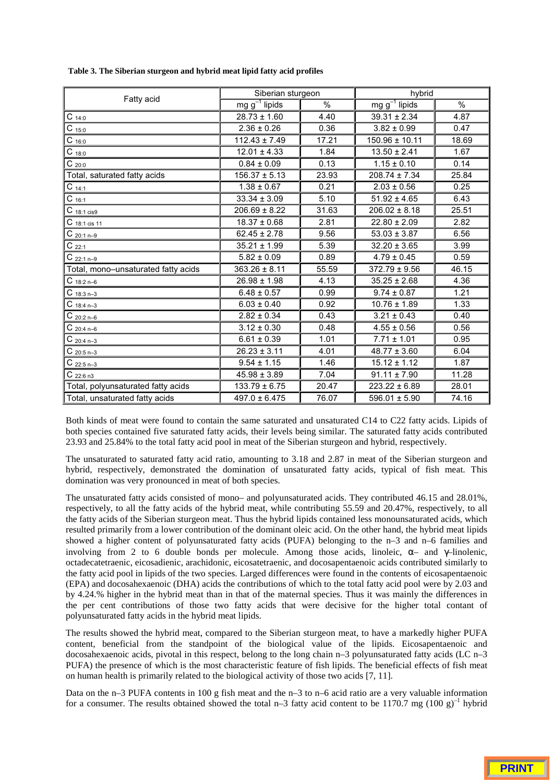|                                     | Siberian sturgeon  |       | hybrid             |               |
|-------------------------------------|--------------------|-------|--------------------|---------------|
| Fatty acid                          | $mg g^{-1}$ lipids | %     | $mg g^{-1}$ lipids | $\frac{0}{0}$ |
| $C_{14:0}$                          | $28.73 \pm 1.60$   | 4.40  | $39.31 \pm 2.34$   | 4.87          |
| $C_{15:0}$                          | $2.36 \pm 0.26$    | 0.36  | $3.82 \pm 0.99$    | 0.47          |
| $C_{16:0}$                          | $112.43 \pm 7.49$  | 17.21 | 150.96 ± 10.11     | 18.69         |
| $C_{18:0}$                          | $12.01 \pm 4.33$   | 1.84  | $13.50 \pm 2.41$   | 1.67          |
| $C_{20:0}$                          | $0.84 \pm 0.09$    | 0.13  | $1.15 \pm 0.10$    | 0.14          |
| Total, saturated fatty acids        | $156.37 \pm 5.13$  | 23.93 | $208.74 \pm 7.34$  | 25.84         |
| $C_{14:1}$                          | $1.38 \pm 0.67$    | 0.21  | $2.03 \pm 0.56$    | 0.25          |
| $C_{16:1}$                          | $33.34 \pm 3.09$   | 5.10  | $51.92 \pm 4.65$   | 6.43          |
| $C_{18:1 \text{ cis}9}$             | $206.69 \pm 8.22$  | 31.63 | $206.02 \pm 8.18$  | 25.51         |
| $C$ 18:1 cis 11                     | $18.37 \pm 0.68$   | 2.81  | $22.80 \pm 2.09$   | 2.82          |
| $C_{20:1 n-9}$                      | $62.45 \pm 2.78$   | 9.56  | $53.03 \pm 3.87$   | 6.56          |
| $C_{22:1}$                          | $35.21 \pm 1.99$   | 5.39  | $32.20 \pm 3.65$   | 3.99          |
| $C_{22:1 n-9}$                      | $5.82 \pm 0.09$    | 0.89  | $4.79 \pm 0.45$    | 0.59          |
| Total, mono-unsaturated fatty acids | $363.26 \pm 8.11$  | 55.59 | $372.79 \pm 9.56$  | 46.15         |
| $C_{18:2 n-6}$                      | $26.98 \pm 1.98$   | 4.13  | $35.25 \pm 2.68$   | 4.36          |
| $C_{18:3 n-3}$                      | $6.48 \pm 0.57$    | 0.99  | $9.74 \pm 0.87$    | 1.21          |
| $C_{18:4 n-3}$                      | $6.03 \pm 0.40$    | 0.92  | $10.76 \pm 1.89$   | 1.33          |
| $C_{20:2 n-6}$                      | $2.82 \pm 0.34$    | 0.43  | $3.21 \pm 0.43$    | 0.40          |
| $C_{20:4 n-6}$                      | $3.12 \pm 0.30$    | 0.48  | $4.55 \pm 0.56$    | 0.56          |
| $C_{20:4 n-3}$                      | $6.61 \pm 0.39$    | 1.01  | $7.71 \pm 1.01$    | 0.95          |
| $C_{20:5 n-3}$                      | $26.23 \pm 3.11$   | 4.01  | $48.77 \pm 3.60$   | 6.04          |
| $C_{22:5 n-3}$                      | $9.54 \pm 1.15$    | 1.46  | $15.12 \pm 1.12$   | 1.87          |
| $C_{22:6n3}$                        | $45.98 \pm 3.89$   | 7.04  | $91.11 \pm 7.90$   | 11.28         |
| Total, polyunsaturated fatty acids  | $133.79 \pm 6.75$  | 20.47 | $223.22 \pm 6.89$  | 28.01         |
| Total, unsaturated fatty acids      | $497.0 \pm 6.475$  | 76.07 | $596.01 \pm 5.90$  | 74.16         |

**Table 3. The Siberian sturgeon and hybrid meat lipid fatty acid profiles**

Both kinds of meat were found to contain the same saturated and unsaturated C14 to C22 fatty acids. Lipids of both species contained five saturated fatty acids, their levels being similar. The saturated fatty acids contributed 23.93 and 25.84% to the total fatty acid pool in meat of the Siberian sturgeon and hybrid, respectively.

The unsaturated to saturated fatty acid ratio, amounting to 3.18 and 2.87 in meat of the Siberian sturgeon and hybrid, respectively, demonstrated the domination of unsaturated fatty acids, typical of fish meat. This domination was very pronounced in meat of both species.

The unsaturated fatty acids consisted of mono– and polyunsaturated acids. They contributed 46.15 and 28.01%, respectively, to all the fatty acids of the hybrid meat, while contributing 55.59 and 20.47%, respectively, to all the fatty acids of the Siberian sturgeon meat. Thus the hybrid lipids contained less monounsaturated acids, which resulted primarily from a lower contribution of the dominant oleic acid. On the other hand, the hybrid meat lipids showed a higher content of polyunsaturated fatty acids (PUFA) belonging to the n–3 and n–6 families and involving from 2 to 6 double bonds per molecule. Among those acids, linoleic,  $\alpha$ – and  $\gamma$ –linolenic, octadecatetraenic, eicosadienic, arachidonic, eicosatetraenic, and docosapentaenoic acids contributed similarly to the fatty acid pool in lipids of the two species. Larged differences were found in the contents of eicosapentaenoic (EPA) and docosahexaenoic (DHA) acids the contributions of which to the total fatty acid pool were by 2.03 and by 4.24.% higher in the hybrid meat than in that of the maternal species. Thus it was mainly the differences in the per cent contributions of those two fatty acids that were decisive for the higher total contant of polyunsaturated fatty acids in the hybrid meat lipids.

The results showed the hybrid meat, compared to the Siberian sturgeon meat, to have a markedly higher PUFA content, beneficial from the standpoint of the biological value of the lipids. Eicosapentaenoic and docosahexaenoic acids, pivotal in this respect, belong to the long chain n–3 polyunsaturated fatty acids (LC n–3 PUFA) the presence of which is the most characteristic feature of fish lipids. The beneficial effects of fish meat on human health is primarily related to the biological activity of those two acids [7, 11].

Data on the n–3 PUFA contents in 100 g fish meat and the n–3 to n–6 acid ratio are a very valuable information for a consumer. The results obtained showed the total n–3 fatty acid content to be 1170.7 mg  $(100 \text{ g})^{-1}$  hybrid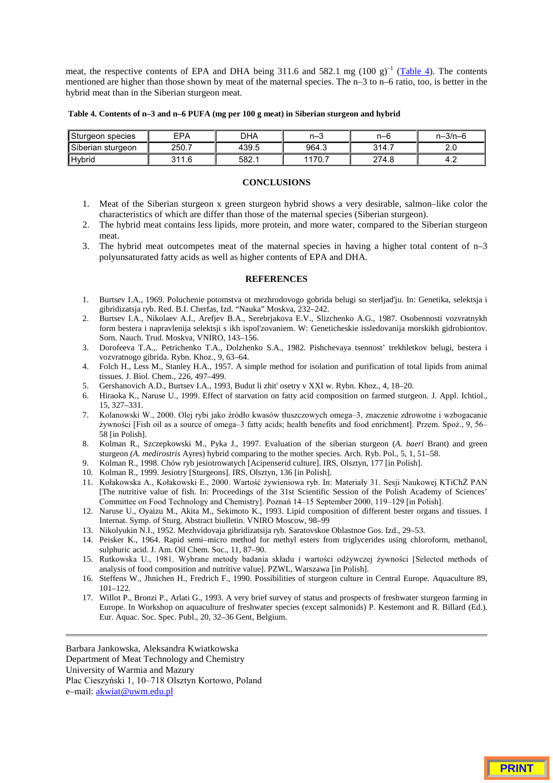meat, the respective contents of EPA and DHA being 311.6 and 582.1 mg  $(100 \text{ g})^{-1}$  (Table 4). The contents mentioned are higher than those shown by meat of the maternal species. The n–3 to n–6 ratio, too, is better in the hybrid meat than in the Siberian sturgeon meat.

**Table 4. Contents of n–3 and n–6 PUFA (mg per 100 g meat) in Siberian sturgeon and hybrid**

| Sturgeon species  | FPA   | DHA   | n–3   | n–6   | $n - 3/n - 6$ |
|-------------------|-------|-------|-------|-------|---------------|
| Siberian sturgeon | 250.7 | 439.5 | 964.3 | 314.7 | ے ۔           |
| <b>I</b> Hybrid   | 244C  | 582.1 | 170.1 | 274.8 | 4.4           |

# **CONCLUSIONS**

- 1. Meat of the Siberian sturgeon x green sturgeon hybrid shows a very desirable, salmon–like color the characteristics of which are differ than those of the maternal species (Siberian sturgeon).
- 2. The hybrid meat contains less lipids, more protein, and more water, compared to the Siberian sturgeon meat.
- 3. The hybrid meat outcompetes meat of the maternal species in having a higher total content of n–3 polyunsaturated fatty acids as well as higher contents of EPA and DHA.

# **REFERENCES**

- 1. Burtsev I.A., 1969. Poluchenie potomstva ot mezhrodovogo gobrida belugi so sterljad'ju. In: Genetika, selektsja i gibridizatsja ryb. Red. B.I. Cherfas, Izd. "Nauka" Moskva, 232–242.
- 2. Burtsev I.A., Nikolaev A.I., Arefjev B.A., Serebrjakova E.V., Slizchenko A.G., 1987. Osobennosti vozvratnykh form bestera i napravlenija selektsji s ikh ispol'zovaniem. W: Geneticheskie issledovanija morskikh gidrobiontov. Sorn. Nauch. Trud. Moskva, VNIRO, 143–156.
- 3. Dorofeeva T.A.,. Petrichenko T.A., Dolzhenko S.A., 1982. Pishchevaya tsennost' trekhletkov belugi, bestera i vozvratnogo gibrida. Rybn. Khoz., 9, 63–64.
- 4. Folch H., Less M., Stanley H.A., 1957. A simple method for isolation and purification of total lipids from animal tissues. J. Biol. Chem., 226, 497–499.
- 5. Gershanovich A.D., Burtsev I.A., 1993, Budut li zhit' osetry v XXI w. Rybn. Khoz., 4, 18–20.
- 6. Hiraoka K., Naruse U., 1999. Effect of starvation on fatty acid composition on farmed sturgeon. J. Appl. Ichtiol., 15, 327–331.
- 7. Kolanowski W., 2000. Olej rybi jako źródło kwasów tłuszczowych omega-3, znaczenie zdrowotne i wzbogacanie zywności [Fish oil as a source of omega-3 fatty acids; health benefits and food enrichment]. Przem. Spoż., 9, 56-58 [in Polish].
- 8. Kolman R., Szczepkowski M., Pyka J., 1997. Evaluation of the siberian sturgeon (*A. baeri* Brant) and green sturgeon *(A. medirostris* Ayres) hybrid comparing to the mother species. Arch. Ryb. Pol., 5, 1, 51–58.
- 9. Kolman R., 1998. Chów ryb jesiotrowatych [Acipenserid culture]. IRS, Olsztyn, 177 [in Polish].
- 10. Kolman R., 1999. Jesiotry [Sturgeons]. IRS, Olsztyn, 136 [in Polish].
- 11. Kołakowska A., Kołakowski E., 2000. Wartość żywieniowa ryb. In: Materiały 31. Sesji Naukowej KTiChŻ PAN [The nutritive value of fish. In: Proceedings of the 31st Scientific Session of the Polish Academy of Sciences' Committee on Food Technology and Chemistry]. Poznań 14-15 September 2000, 119-129 [in Polish].
- 12. Naruse U., Oyaizu M., Akita M., Sekimoto K., 1993. Lipid composition of different bester organs and tissues. I Internat. Symp. of Sturg. Abstract biulletin. VNIRO Moscow, 98–99
- 13. Nikolyukin N.I., 1952. Mezhvidovaja gibridizatsija ryb. Saratovskoe Oblastnoe Gos. Izd., 29–53.
- 14. Peisker K., 1964. Rapid semi–micro method for methyl esters from triglycerides using chloroform, methanol, sulphuric acid. J. Am. Oil Chem. Soc., 11, 87–90.
- 15. Rutkowska U., 1981. Wybrane metody badania składu i wartości odżywczej żywności [Selected methods of analysis of food composition and nutritive value]. PZWL, Warszawa [in Polish].
- 16. Steffens W., Jhnichen H., Fredrich F., 1990. Possibilities of sturgeon culture in Central Europe. Aquaculture 89, 101–122.
- 17. Willot P., Bronzi P., Arlati G., 1993. A very brief survey of status and prospects of freshwater sturgeon farming in Europe. In Workshop on aquaculture of freshwater species (except salmonids) P. Kestemont and R. Billard (Ed.). Eur. Aquac. Soc. Spec. Publ., 20, 32–36 Gent, Belgium.

Barbara Jankowska, Aleksandra Kwiatkowska Department of Meat Technology and Chemistry University of Warmia and Mazury Plac Cieszyński 1, 10-718 Olsztyn Kortowo, Poland e–mail: akwiat@uwm.edu.pl